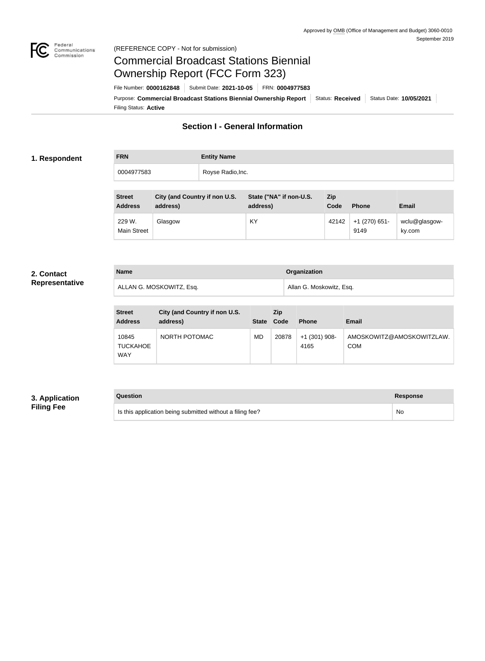

#### Federal<br>Communications<br>Commission (REFERENCE COPY - Not for submission)

# Commercial Broadcast Stations Biennial Ownership Report (FCC Form 323)

Filing Status: **Active** Purpose: Commercial Broadcast Stations Biennial Ownership Report Status: Received | Status Date: 10/05/2021 File Number: **0000162848** Submit Date: **2021-10-05** FRN: **0004977583**

## **Section I - General Information**

#### **1. Respondent**

**FRN Entity Name** 0004977583 Royse Radio, Inc.

| <b>Street</b><br><b>Address</b> | City (and Country if non U.S.<br>address) | State ("NA" if non-U.S.<br>address) | Zip<br>Code | <b>Phone</b>            | <b>Email</b>            |
|---------------------------------|-------------------------------------------|-------------------------------------|-------------|-------------------------|-------------------------|
| 229 W.<br><b>Main Street</b>    | Glasgow                                   | KY                                  | 42142       | $+1$ (270) 651-<br>9149 | wclu@glasgow-<br>ky.com |

#### **2. Contact Representative**

| <b>Name</b>              | Organization             |
|--------------------------|--------------------------|
| ALLAN G. MOSKOWITZ, Esq. | Allan G. Moskowitz, Esq. |

| <b>Street</b><br><b>Address</b> | City (and Country if non U.S.<br>address) | <b>State</b> | Zip<br>Code | <b>Phone</b>            | <b>Email</b>                            |
|---------------------------------|-------------------------------------------|--------------|-------------|-------------------------|-----------------------------------------|
| 10845<br><b>TUCKAHOE</b><br>WAY | NORTH POTOMAC                             | <b>MD</b>    | 20878       | $+1$ (301) 908-<br>4165 | AMOSKOWITZ@AMOSKOWITZLAW.<br><b>COM</b> |

### **3. Application Filing Fee**

## **Question Response**

Is this application being submitted without a filing fee? No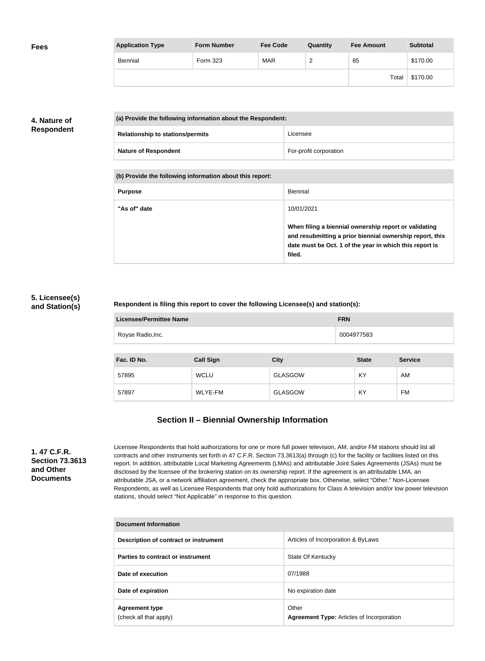| <b>Fees</b> | <b>Application Type</b> | <b>Form Number</b> | <b>Fee Code</b> | Quantity | <b>Fee Amount</b> | <b>Subtotal</b> |
|-------------|-------------------------|--------------------|-----------------|----------|-------------------|-----------------|
|             | Biennial                | Form 323           | <b>MAR</b>      | <u>_</u> | 85                | \$170.00        |
|             |                         |                    |                 |          | Total             | \$170.00        |

## **4. Nature of Respondent**

|  | (a) Provide the following information about the Respondent: |                        |
|--|-------------------------------------------------------------|------------------------|
|  | <b>Relationship to stations/permits</b>                     | Licensee               |
|  | <b>Nature of Respondent</b>                                 | For-profit corporation |

**(b) Provide the following information about this report:**

| <b>Purpose</b> | Biennial                                                                                                                                                                               |
|----------------|----------------------------------------------------------------------------------------------------------------------------------------------------------------------------------------|
| "As of" date   | 10/01/2021                                                                                                                                                                             |
|                | When filing a biennial ownership report or validating<br>and resubmitting a prior biennial ownership report, this<br>date must be Oct. 1 of the year in which this report is<br>filed. |

#### **5. Licensee(s) and Station(s)**

#### **Respondent is filing this report to cover the following Licensee(s) and station(s):**

| Licensee/Permittee Name | <b>FRN</b> |
|-------------------------|------------|
| Royse Radio, Inc.       | 0004977583 |

| Fac. ID No. | <b>Call Sign</b> | <b>City</b>    | <b>State</b> | <b>Service</b> |
|-------------|------------------|----------------|--------------|----------------|
| 57895       | <b>WCLU</b>      | <b>GLASGOW</b> | KY           | AM             |
| 57897       | WLYE-FM          | <b>GLASGOW</b> | KY           | FM             |

## **Section II – Biennial Ownership Information**

**1. 47 C.F.R. Section 73.3613 and Other Documents**

Licensee Respondents that hold authorizations for one or more full power television, AM, and/or FM stations should list all contracts and other instruments set forth in 47 C.F.R. Section 73.3613(a) through (c) for the facility or facilities listed on this report. In addition, attributable Local Marketing Agreements (LMAs) and attributable Joint Sales Agreements (JSAs) must be disclosed by the licensee of the brokering station on its ownership report. If the agreement is an attributable LMA, an attributable JSA, or a network affiliation agreement, check the appropriate box. Otherwise, select "Other." Non-Licensee Respondents, as well as Licensee Respondents that only hold authorizations for Class A television and/or low power television stations, should select "Not Applicable" in response to this question.

| Document Information                            |                                                           |  |  |
|-------------------------------------------------|-----------------------------------------------------------|--|--|
| Description of contract or instrument           | Articles of Incorporation & ByLaws                        |  |  |
| Parties to contract or instrument               | State Of Kentucky                                         |  |  |
| Date of execution                               | 07/1988                                                   |  |  |
| Date of expiration                              | No expiration date                                        |  |  |
| <b>Agreement type</b><br>(check all that apply) | Other<br><b>Agreement Type: Articles of Incorporation</b> |  |  |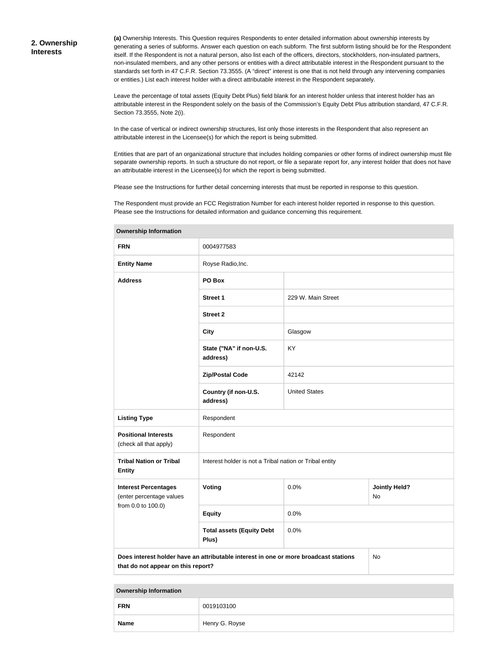**(a)** Ownership Interests. This Question requires Respondents to enter detailed information about ownership interests by generating a series of subforms. Answer each question on each subform. The first subform listing should be for the Respondent itself. If the Respondent is not a natural person, also list each of the officers, directors, stockholders, non-insulated partners, non-insulated members, and any other persons or entities with a direct attributable interest in the Respondent pursuant to the standards set forth in 47 C.F.R. Section 73.3555. (A "direct" interest is one that is not held through any intervening companies or entities.) List each interest holder with a direct attributable interest in the Respondent separately.

Leave the percentage of total assets (Equity Debt Plus) field blank for an interest holder unless that interest holder has an attributable interest in the Respondent solely on the basis of the Commission's Equity Debt Plus attribution standard, 47 C.F.R. Section 73.3555, Note 2(i).

In the case of vertical or indirect ownership structures, list only those interests in the Respondent that also represent an attributable interest in the Licensee(s) for which the report is being submitted.

Entities that are part of an organizational structure that includes holding companies or other forms of indirect ownership must file separate ownership reports. In such a structure do not report, or file a separate report for, any interest holder that does not have an attributable interest in the Licensee(s) for which the report is being submitted.

Please see the Instructions for further detail concerning interests that must be reported in response to this question.

The Respondent must provide an FCC Registration Number for each interest holder reported in response to this question. Please see the Instructions for detailed information and guidance concerning this requirement.

| <b>FRN</b>                                                                                                                       | 0004977583                                              |                      |                            |  |
|----------------------------------------------------------------------------------------------------------------------------------|---------------------------------------------------------|----------------------|----------------------------|--|
| <b>Entity Name</b>                                                                                                               | Royse Radio, Inc.                                       |                      |                            |  |
| <b>Address</b>                                                                                                                   | PO Box                                                  |                      |                            |  |
|                                                                                                                                  | <b>Street 1</b>                                         | 229 W. Main Street   |                            |  |
|                                                                                                                                  | <b>Street 2</b>                                         |                      |                            |  |
|                                                                                                                                  | <b>City</b>                                             | Glasgow              |                            |  |
|                                                                                                                                  | State ("NA" if non-U.S.<br>address)                     | KY                   |                            |  |
|                                                                                                                                  | <b>Zip/Postal Code</b>                                  | 42142                |                            |  |
|                                                                                                                                  | Country (if non-U.S.<br>address)                        | <b>United States</b> |                            |  |
| <b>Listing Type</b>                                                                                                              | Respondent                                              |                      |                            |  |
| <b>Positional Interests</b><br>(check all that apply)                                                                            | Respondent                                              |                      |                            |  |
| <b>Tribal Nation or Tribal</b><br><b>Entity</b>                                                                                  | Interest holder is not a Tribal nation or Tribal entity |                      |                            |  |
| <b>Interest Percentages</b><br>(enter percentage values                                                                          | Voting                                                  | 0.0%                 | <b>Jointly Held?</b><br>No |  |
| from 0.0 to 100.0)                                                                                                               | <b>Equity</b>                                           | 0.0%                 |                            |  |
|                                                                                                                                  | <b>Total assets (Equity Debt</b><br>Plus)               | 0.0%                 |                            |  |
| Does interest holder have an attributable interest in one or more broadcast stations<br>No<br>that do not appear on this report? |                                                         |                      |                            |  |

#### **Ownership Information**

| <b>Ownership Information</b> |                |  |
|------------------------------|----------------|--|
| <b>FRN</b>                   | 0019103100     |  |
| <b>Name</b>                  | Henry G. Royse |  |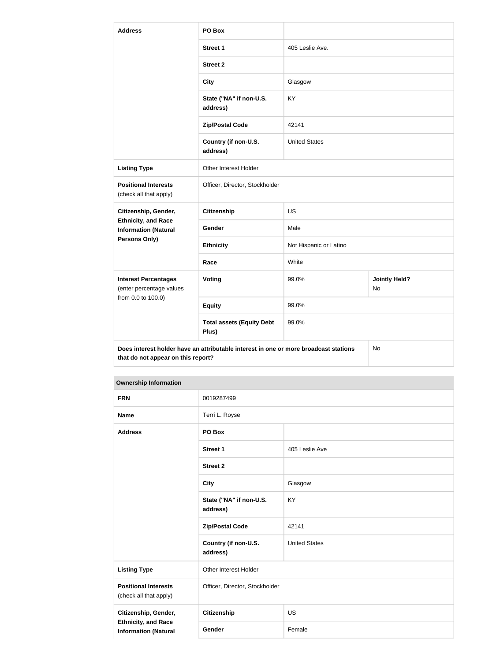| <b>Address</b>                                                                                                                   | PO Box                                    |                        |                            |  |
|----------------------------------------------------------------------------------------------------------------------------------|-------------------------------------------|------------------------|----------------------------|--|
|                                                                                                                                  | <b>Street 1</b>                           | 405 Leslie Ave.        |                            |  |
|                                                                                                                                  | <b>Street 2</b>                           |                        |                            |  |
|                                                                                                                                  | <b>City</b>                               | Glasgow                |                            |  |
|                                                                                                                                  | State ("NA" if non-U.S.<br>address)       | <b>KY</b>              |                            |  |
|                                                                                                                                  | <b>Zip/Postal Code</b>                    | 42141                  |                            |  |
|                                                                                                                                  | Country (if non-U.S.<br>address)          | <b>United States</b>   |                            |  |
| <b>Listing Type</b>                                                                                                              | Other Interest Holder                     |                        |                            |  |
| <b>Positional Interests</b><br>(check all that apply)                                                                            | Officer, Director, Stockholder            |                        |                            |  |
| Citizenship, Gender,                                                                                                             | <b>Citizenship</b>                        | <b>US</b>              |                            |  |
| <b>Ethnicity, and Race</b><br><b>Information (Natural</b>                                                                        | Gender                                    | Male                   |                            |  |
| Persons Only)                                                                                                                    | <b>Ethnicity</b>                          | Not Hispanic or Latino |                            |  |
|                                                                                                                                  | Race                                      | White                  |                            |  |
| <b>Interest Percentages</b><br>(enter percentage values                                                                          | Voting                                    | 99.0%                  | <b>Jointly Held?</b><br>No |  |
| from 0.0 to 100.0)                                                                                                               | <b>Equity</b>                             | 99.0%                  |                            |  |
|                                                                                                                                  | <b>Total assets (Equity Debt</b><br>Plus) | 99.0%                  |                            |  |
| Does interest holder have an attributable interest in one or more broadcast stations<br>No<br>that do not appear on this report? |                                           |                        |                            |  |

#### **Ownership Information**

| <b>FRN</b>                                                                        | 0019287499                          |                      |
|-----------------------------------------------------------------------------------|-------------------------------------|----------------------|
| <b>Name</b>                                                                       | Terri L. Royse                      |                      |
| <b>Address</b>                                                                    | PO Box                              |                      |
|                                                                                   | <b>Street 1</b>                     | 405 Leslie Ave       |
|                                                                                   | <b>Street 2</b>                     |                      |
|                                                                                   | <b>City</b>                         | Glasgow              |
|                                                                                   | State ("NA" if non-U.S.<br>address) | <b>KY</b>            |
|                                                                                   | <b>Zip/Postal Code</b>              | 42141                |
|                                                                                   | Country (if non-U.S.<br>address)    | <b>United States</b> |
| <b>Listing Type</b>                                                               | Other Interest Holder               |                      |
| <b>Positional Interests</b><br>(check all that apply)                             | Officer, Director, Stockholder      |                      |
| Citizenship, Gender,<br><b>Ethnicity, and Race</b><br><b>Information (Natural</b> | Citizenship                         | <b>US</b>            |
|                                                                                   | Gender                              | Female               |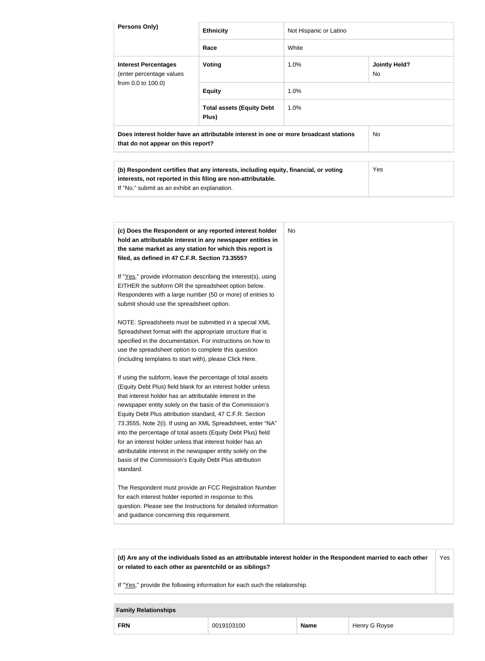| Persons Only)                                                                                                                                                                                                                                                                                                                                                                                                                                                                                                                                                                                                                                                                                                                                                                                                                                                                                                                                                                                                                                                                                                                                                                                                                                                                                                                                                                                                                                                                                 | <b>Ethnicity</b>                                                                                                                                    | Not Hispanic or Latino |                                   |
|-----------------------------------------------------------------------------------------------------------------------------------------------------------------------------------------------------------------------------------------------------------------------------------------------------------------------------------------------------------------------------------------------------------------------------------------------------------------------------------------------------------------------------------------------------------------------------------------------------------------------------------------------------------------------------------------------------------------------------------------------------------------------------------------------------------------------------------------------------------------------------------------------------------------------------------------------------------------------------------------------------------------------------------------------------------------------------------------------------------------------------------------------------------------------------------------------------------------------------------------------------------------------------------------------------------------------------------------------------------------------------------------------------------------------------------------------------------------------------------------------|-----------------------------------------------------------------------------------------------------------------------------------------------------|------------------------|-----------------------------------|
|                                                                                                                                                                                                                                                                                                                                                                                                                                                                                                                                                                                                                                                                                                                                                                                                                                                                                                                                                                                                                                                                                                                                                                                                                                                                                                                                                                                                                                                                                               | Race                                                                                                                                                | White                  |                                   |
| <b>Interest Percentages</b><br>(enter percentage values                                                                                                                                                                                                                                                                                                                                                                                                                                                                                                                                                                                                                                                                                                                                                                                                                                                                                                                                                                                                                                                                                                                                                                                                                                                                                                                                                                                                                                       | <b>Voting</b>                                                                                                                                       | 1.0%                   | <b>Jointly Held?</b><br><b>No</b> |
| from 0.0 to 100.0)                                                                                                                                                                                                                                                                                                                                                                                                                                                                                                                                                                                                                                                                                                                                                                                                                                                                                                                                                                                                                                                                                                                                                                                                                                                                                                                                                                                                                                                                            | <b>Equity</b>                                                                                                                                       | 1.0%                   |                                   |
|                                                                                                                                                                                                                                                                                                                                                                                                                                                                                                                                                                                                                                                                                                                                                                                                                                                                                                                                                                                                                                                                                                                                                                                                                                                                                                                                                                                                                                                                                               | <b>Total assets (Equity Debt</b><br>Plus)                                                                                                           | 1.0%                   |                                   |
| that do not appear on this report?                                                                                                                                                                                                                                                                                                                                                                                                                                                                                                                                                                                                                                                                                                                                                                                                                                                                                                                                                                                                                                                                                                                                                                                                                                                                                                                                                                                                                                                            | Does interest holder have an attributable interest in one or more broadcast stations                                                                |                        | No                                |
| If "No," submit as an exhibit an explanation.                                                                                                                                                                                                                                                                                                                                                                                                                                                                                                                                                                                                                                                                                                                                                                                                                                                                                                                                                                                                                                                                                                                                                                                                                                                                                                                                                                                                                                                 | (b) Respondent certifies that any interests, including equity, financial, or voting<br>interests, not reported in this filing are non-attributable. |                        | Yes                               |
| (c) Does the Respondent or any reported interest holder<br>hold an attributable interest in any newspaper entities in<br>the same market as any station for which this report is<br>filed, as defined in 47 C.F.R. Section 73.3555?<br>If "Yes," provide information describing the interest(s), using<br>EITHER the subform OR the spreadsheet option below.<br>Respondents with a large number (50 or more) of entries to<br>submit should use the spreadsheet option.<br>NOTE: Spreadsheets must be submitted in a special XML<br>Spreadsheet format with the appropriate structure that is<br>specified in the documentation. For instructions on how to<br>use the spreadsheet option to complete this question<br>(including templates to start with), please Click Here.<br>If using the subform, leave the percentage of total assets<br>(Equity Debt Plus) field blank for an interest holder unless<br>that interest holder has an attributable interest in the<br>newspaper entity solely on the basis of the Commission's<br>Equity Debt Plus attribution standard, 47 C.F.R. Section<br>73.3555, Note 2(i). If using an XML Spreadsheet, enter "NA"<br>into the percentage of total assets (Equity Debt Plus) field<br>for an interest holder unless that interest holder has an<br>attributable interest in the newspaper entity solely on the<br>basis of the Commission's Equity Debt Plus attribution<br>standard.<br>The Respondent must provide an FCC Registration Number |                                                                                                                                                     | <b>No</b>              |                                   |
| for each interest holder reported in response to this<br>and guidance concerning this requirement.                                                                                                                                                                                                                                                                                                                                                                                                                                                                                                                                                                                                                                                                                                                                                                                                                                                                                                                                                                                                                                                                                                                                                                                                                                                                                                                                                                                            | question. Please see the Instructions for detailed information                                                                                      |                        |                                   |

**(d) Are any of the individuals listed as an attributable interest holder in the Respondent married to each other or related to each other as parentchild or as siblings?** Yes

If "Yes," provide the following information for each such the relationship.

#### **Family Relationships**

|  | <b>FRN</b> | K | Name | yse<br>ueur, |
|--|------------|---|------|--------------|
|--|------------|---|------|--------------|